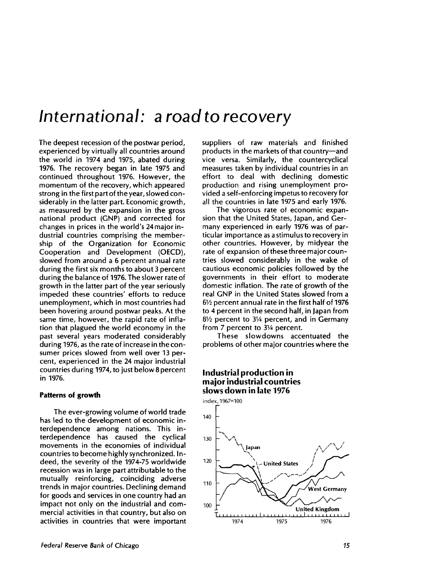# *International: a road* **to recovery**

The deepest recession of the postwar period, experienced by virtually all countries around the world in 1974 and 1975, abated during 1976. The recovery began in late 1975 and continued throughout 1976. However, the momentum of the recovery, which appeared strong in the first part of the year, slowed considerably in the latter part. Economic growth, as measured by the expansion in the gross national product (GNP) and corrected for changes in prices in the world's 24 major industrial countries comprising the membership of the Organization for Economic Cooperation and Development (OECD), slowed from around a 6 percent annual rate during the first six months to about 3 percent during the balance of 1976. The slower rate of growth in the latter part of the year seriously impeded these countries' efforts to reduce unemployment, which in most countries had been hovering around postwar peaks. At the same time, however, the rapid rate of inflation that plagued the world economy in the past several years moderated considerably during 1976, as the rate of increase in the consumer prices slowed from well over 13 percent, experienced in the 24 major industrial countries during 1974, to just below 8 percent in 1976.

## **Patterns of growth**

The ever-growing volume of world trade has led to the development of economic interdependence among nations. This interdependence has caused the cyclical movements in the economies of individual countries to become highly synchronized. Indeed, the severity of the 1974-75 worldwide recession was in large part attributable to the mutually reinforcing, coinciding adverse trends in major countries. Declining demand for goods and services in one country had an impact not only on the industrial and commercial activities in that country, but also on activities in countries that were important suppliers of raw materials and finished products in the markets of that country—and vice versa. Similarly, the countercyclical measures taken by individual countries in an effort to deal with declining domestic production and rising unemployment provided a self-enforcing impetus to recovery for all the countries in late 1975 and early 1976.

The vigorous rate of economic expansion that the United States, Japan, and Germany experienced in early 1976 was of particular importance as a stimulus to recovery in other countries. However, by midyear the rate of expansion of these three major countries slowed considerably in the wake of cautious economic policies followed by the governments in their effort to moderate domestic inflation. The rate of growth of the real GNP in the United States slowed from a  $6\frac{1}{2}$  percent annual rate in the first half of 1976 to 4 percent in the second half, in Japan from  $8\frac{1}{2}$  percent to 3 $\frac{1}{4}$  percent, and in Germany from 7 percent to 31/4 percent.

These slowdowns accentuated the problems of other major countries where the

# **Industrial production in major industrial countries slows down in late 1976**

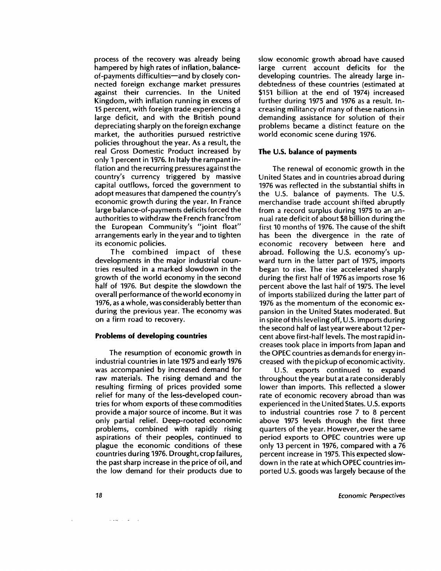process of the recovery was already being hampered by high rates of inflation, balanceof-payments difficulties—and by closely connected foreign exchange market pressures against their currencies. In the United Kingdom, with inflation running in excess of 15 percent, with foreign trade experiencing a large deficit, and with the British pound depreciating sharply on the foreign exchange market, the authorities pursued restrictive policies throughout the year. As a result, the real Gross Domestic Product increased by only 1 percent in 1976. In Italy the rampant inflation and the recurring pressures against the country's currency triggered by massive capital outflows, forced the government to adopt measures that dampened the country's economic growth during the year. In France large balance-of-payments deficits forced the authorities to withdraw the French franc from the European Community's "joint float" arrangements early in the year and to tighten its economic policies.

The combined impact of these developments in the major industrial countries resulted in a marked slowdown in the growth of the world economy in the second half of 1976. But despite the slowdown the overall performance of the world economy in 1976, as a whole, was considerably better than during the previous year. The economy was on a firm road to recovery.

#### **Problems of developing countries**

The resumption of economic growth in industrial countries in late 1975 and early 1976 was accompanied by increased demand for raw materials. The rising demand and the resulting firming of prices provided some relief for many of the less-developed countries for whom exports of these commodities provide a major source of income. But it was only partial relief. Deep-rooted economic problems, combined with rapidly rising aspirations of their peoples, continued to plague the economic conditions of these countries during 1976. Drought, crop failures, the past sharp increase in the price of oil, and the low demand for their products due to slow economic growth abroad have caused large current account deficits for the developing countries. The already large indebtedness of these countries (estimated at \$151 billion at the end of 1974) increased further during 1975 and 1976 as a result. Increasing militancy of many of these nations in demanding assistance for solution of their problems became a distinct feature on the world economic scene during 1976.

#### **The U.S. balance of payments**

The renewal of economic growth in the United States and in countries abroad during 1976 was reflected in the substantial shifts in the U.S. balance of payments. The U.S. merchandise trade account shifted abruptly from a record surplus during 1975 to an annual rate deficit of about \$8 billion during the first 10 months of 1976. The cause of the shift has been the divergence in the rate of economic recovery between here and abroad. Following the U.S. economy's upward turn in the latter part of 1975, imports began to rise. The rise accelerated sharply during the first half of 1976 as imports rose 16 percent above the last half of 1975. The level of imports stabilized during the latter part of 1976 as the momentum of the economic expansion in the United States moderated. But in spite of this leveling off, U.S. imports during the second half of last year were about 12 percent above first-half levels. The most rapid increases took place in imports from Japan and the OPEC countries as demands for energy increased with the pickup of economic activity.

U.S. exports continued to expand throughout the year but at a rate considerably lower than imports. This reflected a slower rate of economic recovery abroad than was experienced in the United States. U.S. exports to industrial countries rose 7 to 8 percent above 1975 levels through the first three quarters of the year. However, over the same period exports to OPEC countries were up only 13 percent in 1976, compared with a 76 percent increase in 1975. This expected slowdown in the rate at which OPEC countries imported U.S. goods was largely because of the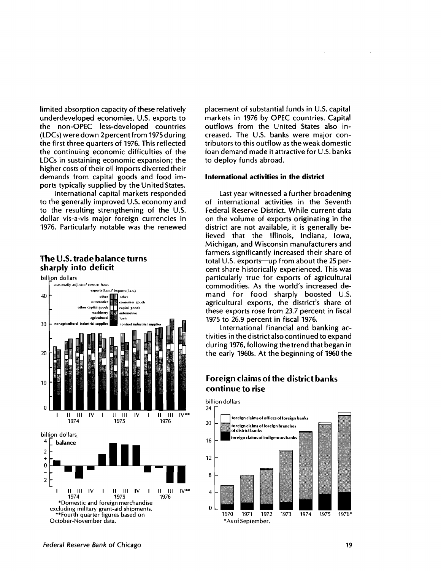limited absorption capacity of these relatively underdeveloped economies. U.S. exports to the non-OPEC less-developed countries (LDCs) were down 2 percent from 1975 during the first three quarters of 1976. This reflected the continuing economic difficulties of the LDCs in sustaining economic expansion; the higher costs of their oil imports diverted their demands from capital goods and food imports typically supplied by the United States.

International capital markets responded to the generally improved U.S. economy and to the resulting strengthening of the U.S. dollar vis-a-vis major foreign currencies in 1976. Particularly notable was the renewed

# **The U.S. trade balance turns sharply into deficit**



placement of substantial funds in U.S. capital markets in 1976 by OPEC countries. Capital outflows from the United States also increased. The U.S. banks were major contributors to this outflow as the weak domestic loan demand made it attractive for U.S. banks to deploy funds abroad.

## **International activities in the district**

Last year witnessed a further broadening of international activities in the Seventh Federal Reserve District. While current data on the volume of exports originating in the district are not available, it is generally believed that the Illinois, Indiana, Iowa, Michigan, and Wisconsin manufacturers and farmers significantly increased their share of total U.S. exports—up from about the 25 percent share historically experienced. This was particularly true for exports of agricultural commodities. As the world's increased demand for food sharply boosted U.S. agricultural exports, the district's share of these exports rose from 23.7 percent in fiscal 1975 to 26.9 percent in fiscal 1976.

International financial and banking activities in the district also continued to expand during 1976, following the trend that began in the early 1960s. At the beginning of 1960 the

# **Foreign claims of the district banks continue to rise**